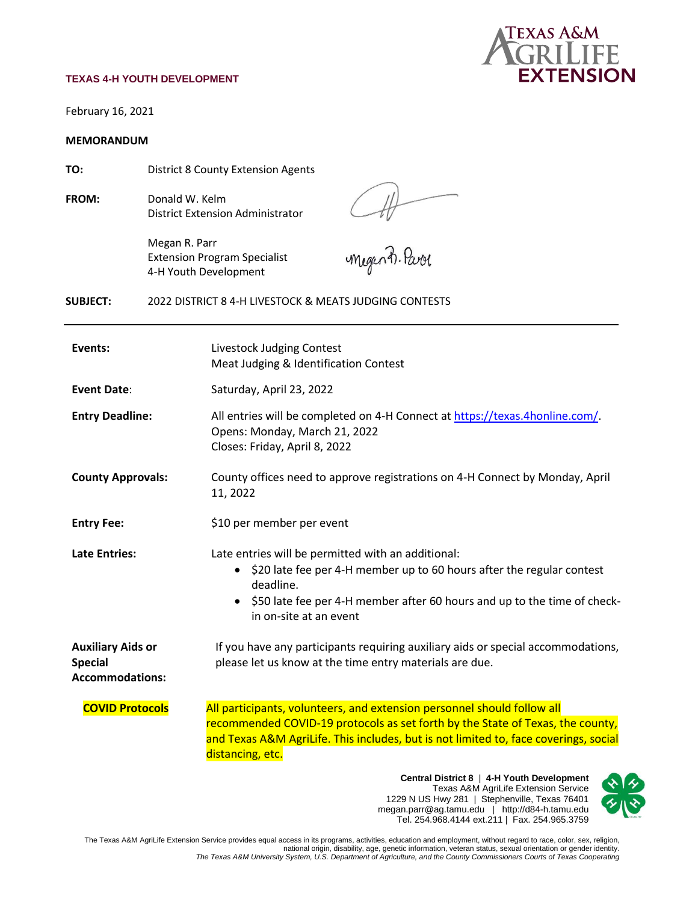#### **TEXAS 4-H YOUTH DEVELOPMENT**



February 16, 2021

#### **MEMORANDUM**

**TO:** District 8 County Extension Agents

**FROM:** Donald W. Kelm District Extension Administrator Att

Megan R. Parr Extension Program Specialist 4-H Youth Development

**SUBJECT:** 2022 DISTRICT 8 4-H LIVESTOCK & MEATS JUDGING CONTESTS

| Events:                                                              | Livestock Judging Contest<br>Meat Judging & Identification Contest                                                                                                                                                                                                                                                                                                                                                                        |  |
|----------------------------------------------------------------------|-------------------------------------------------------------------------------------------------------------------------------------------------------------------------------------------------------------------------------------------------------------------------------------------------------------------------------------------------------------------------------------------------------------------------------------------|--|
| <b>Event Date:</b>                                                   | Saturday, April 23, 2022                                                                                                                                                                                                                                                                                                                                                                                                                  |  |
| <b>Entry Deadline:</b>                                               | All entries will be completed on 4-H Connect at https://texas.4honline.com/.<br>Opens: Monday, March 21, 2022<br>Closes: Friday, April 8, 2022                                                                                                                                                                                                                                                                                            |  |
| <b>County Approvals:</b>                                             | County offices need to approve registrations on 4-H Connect by Monday, April<br>11, 2022                                                                                                                                                                                                                                                                                                                                                  |  |
| <b>Entry Fee:</b>                                                    | \$10 per member per event                                                                                                                                                                                                                                                                                                                                                                                                                 |  |
| <b>Late Entries:</b>                                                 | Late entries will be permitted with an additional:<br>\$20 late fee per 4-H member up to 60 hours after the regular contest<br>$\bullet$<br>deadline.<br>\$50 late fee per 4-H member after 60 hours and up to the time of check-<br>$\bullet$<br>in on-site at an event                                                                                                                                                                  |  |
| <b>Auxiliary Aids or</b><br><b>Special</b><br><b>Accommodations:</b> | If you have any participants requiring auxiliary aids or special accommodations,<br>please let us know at the time entry materials are due.                                                                                                                                                                                                                                                                                               |  |
| <b>COVID Protocols</b>                                               | All participants, volunteers, and extension personnel should follow all<br>recommended COVID-19 protocols as set forth by the State of Texas, the county,<br>and Texas A&M AgriLife. This includes, but is not limited to, face coverings, social<br>distancing, etc.<br>Central District 8   4-H Youth Development<br>$\bm{\hat{\gamma}}$<br>Texas A&M AgriLife Extension Service<br>1229 N US Hwy 281   Stephenville, Texas 76401<br>x. |  |

megan.parr@ag.tamu.edu | http://d84-h.tamu.edu Tel. 254.968.4144 ext.211 | Fax. 254.965.3759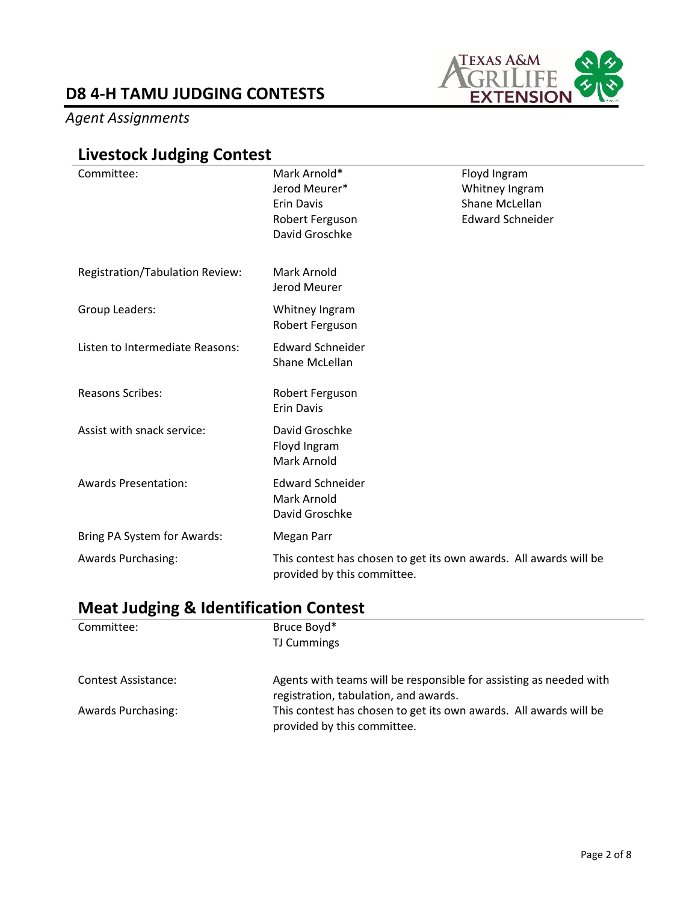### *Agent Assignments*



## **Livestock Judging Contest**

| Committee:                      | Mark Arnold*<br>Jerod Meurer*<br><b>Erin Davis</b><br>Robert Ferguson                            | Floyd Ingram<br>Whitney Ingram<br>Shane McLellan<br><b>Edward Schneider</b> |
|---------------------------------|--------------------------------------------------------------------------------------------------|-----------------------------------------------------------------------------|
|                                 | David Groschke                                                                                   |                                                                             |
| Registration/Tabulation Review: | Mark Arnold<br>Jerod Meurer                                                                      |                                                                             |
| Group Leaders:                  | Whitney Ingram<br>Robert Ferguson                                                                |                                                                             |
| Listen to Intermediate Reasons: | <b>Edward Schneider</b><br>Shane McLellan                                                        |                                                                             |
| <b>Reasons Scribes:</b>         | Robert Ferguson<br><b>Erin Davis</b>                                                             |                                                                             |
| Assist with snack service:      | David Groschke<br>Floyd Ingram<br>Mark Arnold                                                    |                                                                             |
| <b>Awards Presentation:</b>     | <b>Edward Schneider</b><br>Mark Arnold<br>David Groschke                                         |                                                                             |
| Bring PA System for Awards:     | <b>Megan Parr</b>                                                                                |                                                                             |
| <b>Awards Purchasing:</b>       | This contest has chosen to get its own awards. All awards will be<br>provided by this committee. |                                                                             |

### **Meat Judging & Identification Contest**

| Committee:                 | Bruce Boyd*                                                        |
|----------------------------|--------------------------------------------------------------------|
|                            | TJ Cummings                                                        |
|                            |                                                                    |
| <b>Contest Assistance:</b> | Agents with teams will be responsible for assisting as needed with |
|                            | registration, tabulation, and awards.                              |
| <b>Awards Purchasing:</b>  | This contest has chosen to get its own awards. All awards will be  |
|                            | provided by this committee.                                        |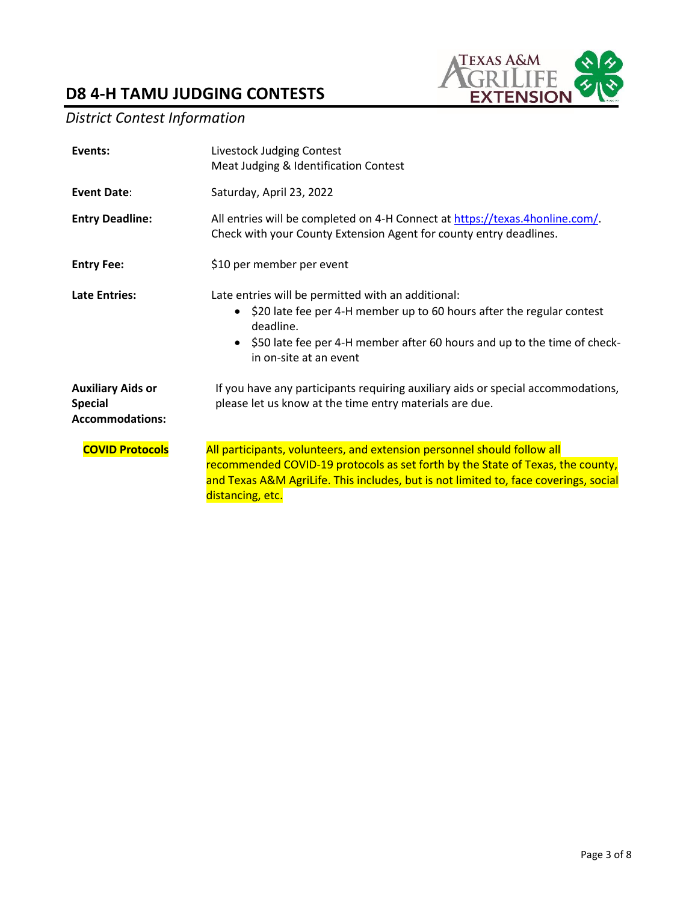

### *District Contest Information*

| Events:                                                              | Livestock Judging Contest<br>Meat Judging & Identification Contest                                                                                                                                                                                                       |  |
|----------------------------------------------------------------------|--------------------------------------------------------------------------------------------------------------------------------------------------------------------------------------------------------------------------------------------------------------------------|--|
| <b>Event Date:</b>                                                   | Saturday, April 23, 2022                                                                                                                                                                                                                                                 |  |
| <b>Entry Deadline:</b>                                               | All entries will be completed on 4-H Connect at https://texas.4honline.com/.<br>Check with your County Extension Agent for county entry deadlines.                                                                                                                       |  |
| <b>Entry Fee:</b>                                                    | \$10 per member per event                                                                                                                                                                                                                                                |  |
| <b>Late Entries:</b>                                                 | Late entries will be permitted with an additional:<br>\$20 late fee per 4-H member up to 60 hours after the regular contest<br>$\bullet$<br>deadline.<br>\$50 late fee per 4-H member after 60 hours and up to the time of check-<br>$\bullet$<br>in on-site at an event |  |
| <b>Auxiliary Aids or</b><br><b>Special</b><br><b>Accommodations:</b> | If you have any participants requiring auxiliary aids or special accommodations,<br>please let us know at the time entry materials are due.                                                                                                                              |  |
| <b>COVID Protocols</b>                                               | All participants, volunteers, and extension personnel should follow all<br>recommended COVID-19 protocols as set forth by the State of Texas, the county,<br>and Texas A&M AgriLife. This includes, but is not limited to, face coverings, social<br>distancing, etc.    |  |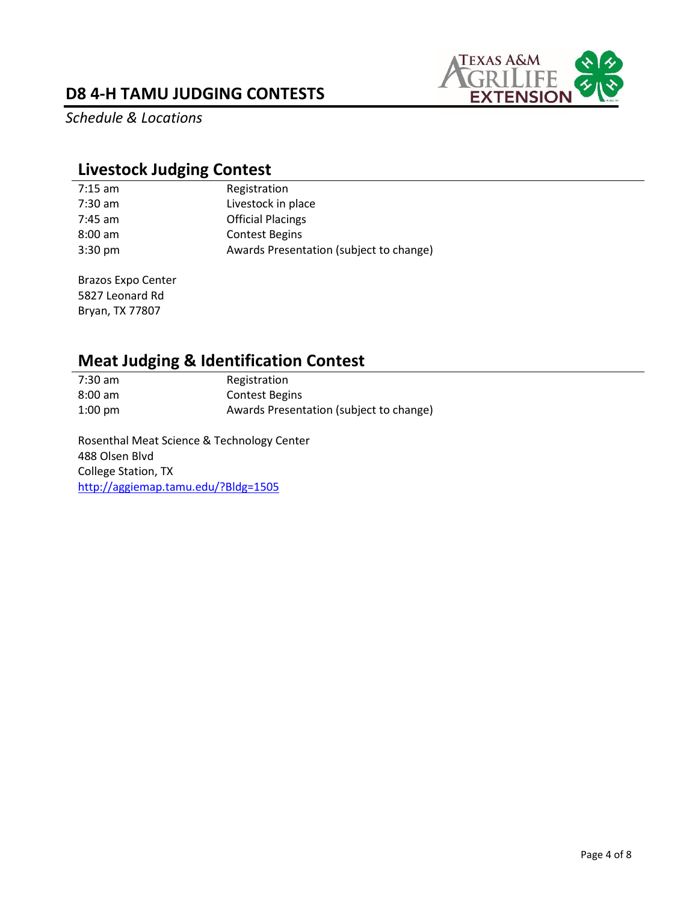

*Schedule & Locations*

### **Livestock Judging Contest**

| 7:15 am           | Registration                            |
|-------------------|-----------------------------------------|
| 7:30 am           | Livestock in place                      |
| 7:45 am           | <b>Official Placings</b>                |
| $8:00$ am         | <b>Contest Begins</b>                   |
| $3:30 \text{ pm}$ | Awards Presentation (subject to change) |

Brazos Expo Center 5827 Leonard Rd Bryan, TX 77807

# **Meat Judging & Identification Contest**<br>7:30 am **Registration**

Registration 8:00 am Contest Begins 1:00 pm Awards Presentation (subject to change)

Rosenthal Meat Science & Technology Center 488 Olsen Blvd College Station, TX <http://aggiemap.tamu.edu/?Bldg=1505>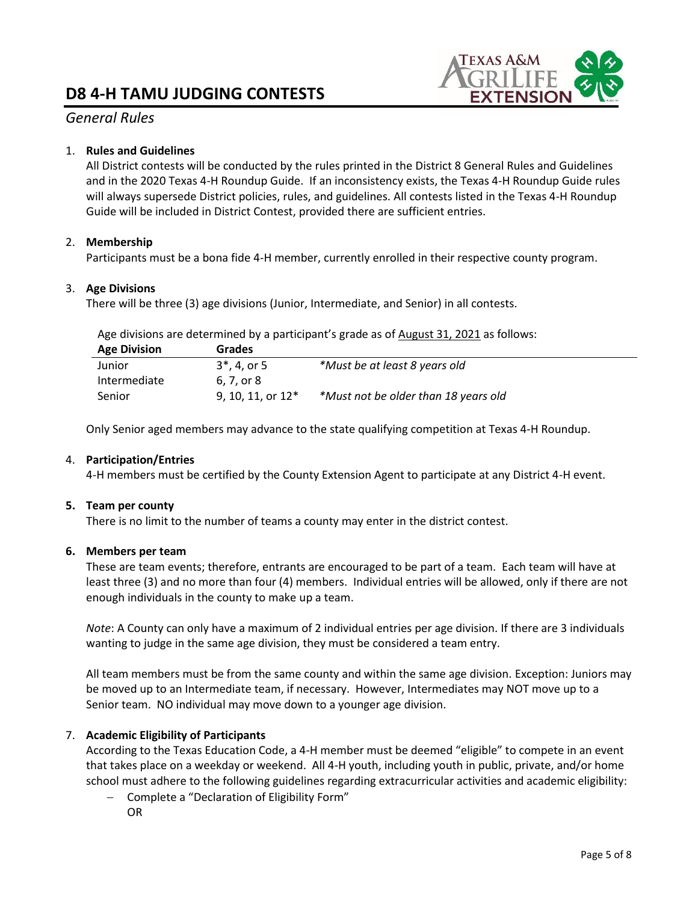

### *General Rules*

#### 1. **Rules and Guidelines**

All District contests will be conducted by the rules printed in the District 8 General Rules and Guidelines and in the 2020 Texas 4-H Roundup Guide. If an inconsistency exists, the Texas 4-H Roundup Guide rules will always supersede District policies, rules, and guidelines. All contests listed in the Texas 4-H Roundup Guide will be included in District Contest, provided there are sufficient entries.

#### 2. **Membership**

Participants must be a bona fide 4-H member, currently enrolled in their respective county program.

#### 3. **Age Divisions**

There will be three (3) age divisions (Junior, Intermediate, and Senior) in all contests.

Age divisions are determined by a participant's grade as of August 31, 2021 as follows:

| <b>Age Division</b> | Grades              |                                      |
|---------------------|---------------------|--------------------------------------|
| Junior              | $3^*$ , 4, or 5     | *Must be at least 8 years old        |
| Intermediate        | 6. 7. or 8          |                                      |
| Senior              | 9, 10, 11, or $12*$ | *Must not be older than 18 years old |

Only Senior aged members may advance to the state qualifying competition at Texas 4-H Roundup.

#### 4. **Participation/Entries**

4-H members must be certified by the County Extension Agent to participate at any District 4-H event.

#### **5. Team per county**

There is no limit to the number of teams a county may enter in the district contest.

#### **6. Members per team**

These are team events; therefore, entrants are encouraged to be part of a team. Each team will have at least three (3) and no more than four (4) members. Individual entries will be allowed, only if there are not enough individuals in the county to make up a team.

*Note*: A County can only have a maximum of 2 individual entries per age division. If there are 3 individuals wanting to judge in the same age division, they must be considered a team entry.

All team members must be from the same county and within the same age division. Exception: Juniors may be moved up to an Intermediate team, if necessary. However, Intermediates may NOT move up to a Senior team. NO individual may move down to a younger age division.

#### 7. **Academic Eligibility of Participants**

According to the Texas Education Code, a 4-H member must be deemed "eligible" to compete in an event that takes place on a weekday or weekend. All 4-H youth, including youth in public, private, and/or home school must adhere to the following guidelines regarding extracurricular activities and academic eligibility:

− Complete a "Declaration of Eligibility Form" OR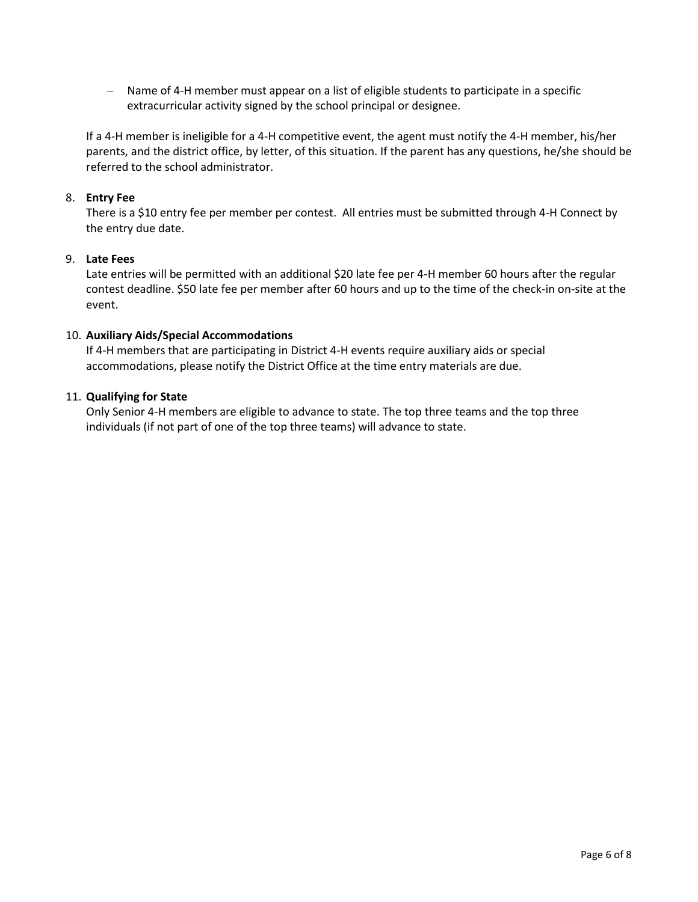− Name of 4-H member must appear on a list of eligible students to participate in a specific extracurricular activity signed by the school principal or designee.

If a 4-H member is ineligible for a 4-H competitive event, the agent must notify the 4-H member, his/her parents, and the district office, by letter, of this situation. If the parent has any questions, he/she should be referred to the school administrator.

#### 8. **Entry Fee**

There is a \$10 entry fee per member per contest. All entries must be submitted through 4-H Connect by the entry due date.

#### 9. **Late Fees**

Late entries will be permitted with an additional \$20 late fee per 4-H member 60 hours after the regular contest deadline. \$50 late fee per member after 60 hours and up to the time of the check-in on-site at the event.

#### 10. **Auxiliary Aids/Special Accommodations**

If 4-H members that are participating in District 4-H events require auxiliary aids or special accommodations, please notify the District Office at the time entry materials are due.

#### 11. **Qualifying for State**

Only Senior 4-H members are eligible to advance to state. The top three teams and the top three individuals (if not part of one of the top three teams) will advance to state.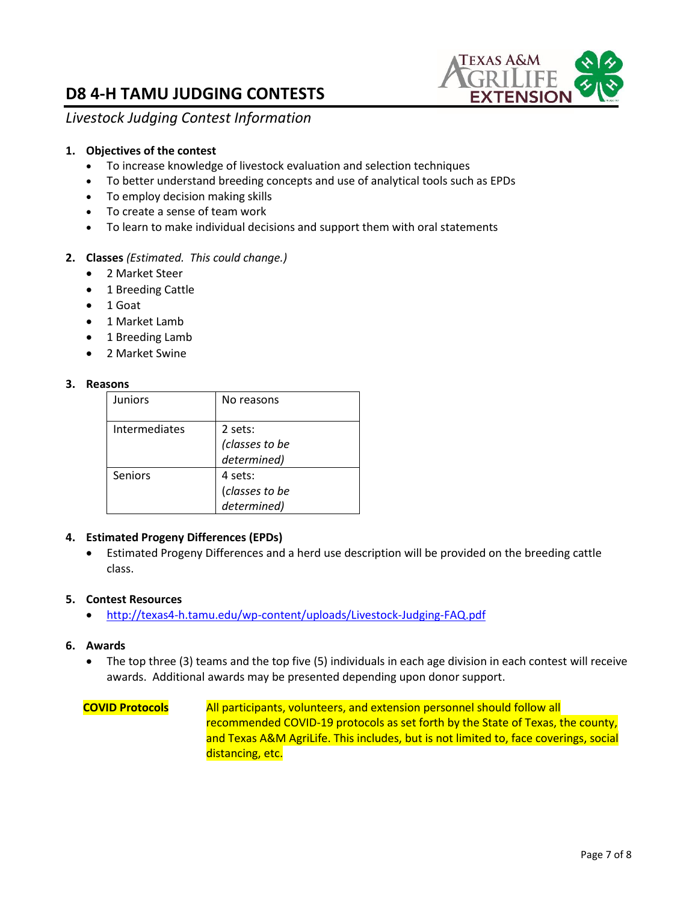

*Livestock Judging Contest Information* 

#### **1. Objectives of the contest**

- To increase knowledge of livestock evaluation and selection techniques
- To better understand breeding concepts and use of analytical tools such as EPDs
- To employ decision making skills
- To create a sense of team work
- To learn to make individual decisions and support them with oral statements

#### **2. Classes** *(Estimated. This could change.)*

- 2 Market Steer
- 1 Breeding Cattle
- 1 Goat
- 1 Market Lamb
- 1 Breeding Lamb
- 2 Market Swine

#### **3. Reasons**

| Juniors       | No reasons     |
|---------------|----------------|
| Intermediates | 2 sets:        |
|               | (classes to be |
|               | determined)    |
| Seniors       | 4 sets:        |
|               | (classes to be |
|               | determined)    |

#### **4. Estimated Progeny Differences (EPDs)**

• Estimated Progeny Differences and a herd use description will be provided on the breeding cattle class.

#### **5. Contest Resources**

• <http://texas4-h.tamu.edu/wp-content/uploads/Livestock-Judging-FAQ.pdf>

#### **6. Awards**

• The top three (3) teams and the top five (5) individuals in each age division in each contest will receive awards. Additional awards may be presented depending upon donor support.

#### **COVID Protocols** All participants, volunteers, and extension personnel should follow all recommended COVID-19 protocols as set forth by the State of Texas, the county, and Texas A&M AgriLife. This includes, but is not limited to, face coverings, social distancing, etc.